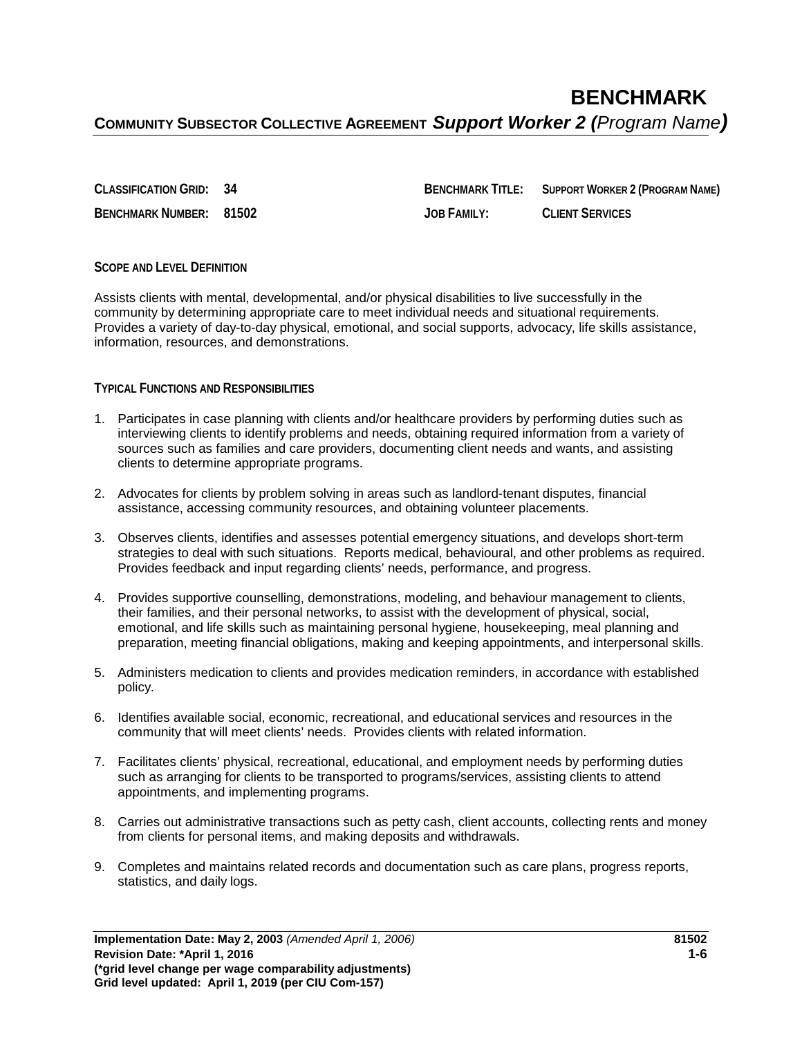**CLASSIFICATION GRID: 34 BENCHMARK TITLE: SUPPORT WORKER 2 (PROGRAM NAME) BENCHMARK NUMBER: 81502 JOB FAMILY: CLIENT SERVICES**

## **SCOPE AND LEVEL DEFINITION**

Assists clients with mental, developmental, and/or physical disabilities to live successfully in the community by determining appropriate care to meet individual needs and situational requirements. Provides a variety of day-to-day physical, emotional, and social supports, advocacy, life skills assistance, information, resources, and demonstrations.

## **TYPICAL FUNCTIONS AND RESPONSIBILITIES**

- 1. Participates in case planning with clients and/or healthcare providers by performing duties such as interviewing clients to identify problems and needs, obtaining required information from a variety of sources such as families and care providers, documenting client needs and wants, and assisting clients to determine appropriate programs.
- 2. Advocates for clients by problem solving in areas such as landlord-tenant disputes, financial assistance, accessing community resources, and obtaining volunteer placements.
- 3. Observes clients, identifies and assesses potential emergency situations, and develops short-term strategies to deal with such situations. Reports medical, behavioural, and other problems as required. Provides feedback and input regarding clients' needs, performance, and progress.
- 4. Provides supportive counselling, demonstrations, modeling, and behaviour management to clients, their families, and their personal networks, to assist with the development of physical, social, emotional, and life skills such as maintaining personal hygiene, housekeeping, meal planning and preparation, meeting financial obligations, making and keeping appointments, and interpersonal skills.
- 5. Administers medication to clients and provides medication reminders, in accordance with established policy.
- 6. Identifies available social, economic, recreational, and educational services and resources in the community that will meet clients' needs. Provides clients with related information.
- 7. Facilitates clients' physical, recreational, educational, and employment needs by performing duties such as arranging for clients to be transported to programs/services, assisting clients to attend appointments, and implementing programs.
- 8. Carries out administrative transactions such as petty cash, client accounts, collecting rents and money from clients for personal items, and making deposits and withdrawals.
- 9. Completes and maintains related records and documentation such as care plans, progress reports, statistics, and daily logs.